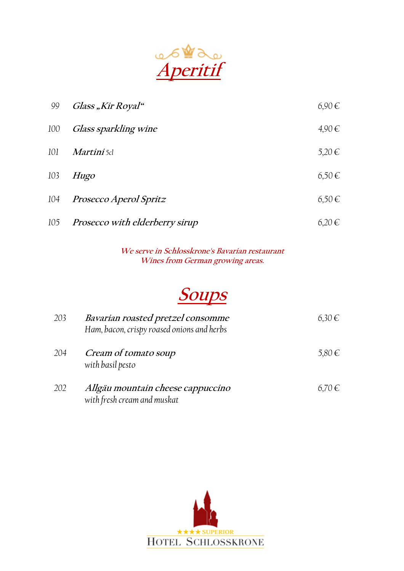

| 99  | Glass "Kir Royal"                         | $6,90 \in$ |
|-----|-------------------------------------------|------------|
| 100 | Glass sparkling wine                      | $4,90 \in$ |
| 101 | Martini 5cl                               | $5,20 \in$ |
| 103 | Hugo                                      | $6,50 \in$ |
| 104 | <i>Prosecco Aperol Spritz</i>             | $6,50 \in$ |
|     | 105 <i>Prosecco with elderberry sirup</i> | 6,20€      |

**We serve in Schlosskrone's Bavarian restaurant Wines from German growing areas.** 

# **Soups**

| 203 | Bavarian roasted pretzel consomme<br>Ham, bacon, crispy roased onions and herbs | $6,30 \in$ |
|-----|---------------------------------------------------------------------------------|------------|
| 204 | Cream of tomato soup<br>with basil pesto                                        | 5,80 €     |
| 202 | Allgäu mountain cheese cappuccino<br>with fresh cream and muskat                | 6,70€      |

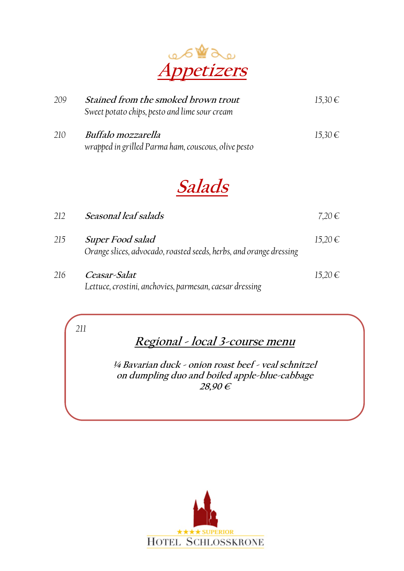

| 209 | Stained from the smoked brown trout<br>Sweet potato chips, pesto and lime sour cream | $15,30 \in$ |
|-----|--------------------------------------------------------------------------------------|-------------|
| 210 | Buffalo mozzarella<br>wrapped in grilled Parma ham, couscous, olive pesto            | $15,30 \in$ |

## **Salads**

| 212 | Seasonal leaf salads                                                                          | 7,20€       |
|-----|-----------------------------------------------------------------------------------------------|-------------|
| 215 | <b>Super Food salad</b><br>Orange slices, advocado, roasted seeds, herbs, and orange dressing | 15,20€      |
| 216 | Ceasar-Salat<br>Lettuce, crostini, anchovies, parmesan, caesar dressing                       | $15,20 \in$ |

*211* 

## **Regional - local 3-course menu**

**¼ Bavarian duck - onion roast beef - veal schnitzel on dumpling duo and boiled apple-blue-cabbage 28,90 €** 

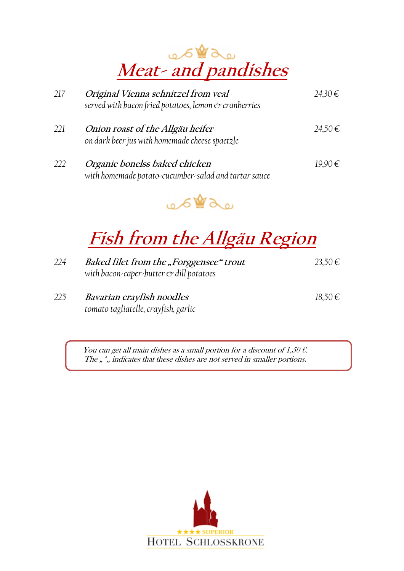

| 217 | Original Vienna schnitzel from veal<br>served with bacon fried potatoes, lemon & cranberries | 24,30€      |
|-----|----------------------------------------------------------------------------------------------|-------------|
| 221 | Onion roast of the Allgäu heifer<br>on dark beer jus with homemade cheese spaetzle           | $24,50 \in$ |
| 222 | Organic bonelss baked chicken<br>with homemade potato-cucumber-salad and tartar sauce        | $19,90 \in$ |



# **Fish from the Allgäu Region**

| 224 | Baked filet from the "Forggensee" trout        | 23,50 € |
|-----|------------------------------------------------|---------|
|     | with bacon-caper-butter $\infty$ dill potatoes |         |
|     |                                                |         |

*225* **Bavarian crayfish noodles** *18,50 tomato tagliatelle, crayfish, garlic* 

You can get all main dishes as a small portion for a discount of 1,50  $\epsilon$ . The  $\mu$ ,  $\mu$  indicates that these dishes are not served in smaller portions.

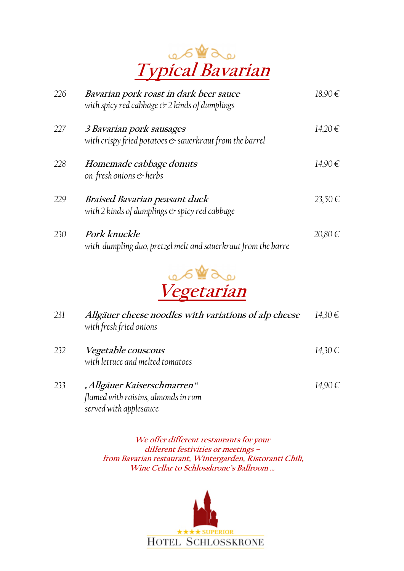

| 226 | Bavarian pork roast in dark beer sauce<br>with spicy red cabbage $\ll 2$ kinds of dumplings      | $18,90 \in$ |
|-----|--------------------------------------------------------------------------------------------------|-------------|
| 227 | 3 Bavarian pork sausages<br>with crispy fried potatoes $\mathfrak{S}$ sauerkraut from the barrel | 14,20€      |
| 228 | Homemade cabbage donuts<br>on fresh onions $\mathfrak{\circ}$ herbs                              | 14,90€      |
| 229 | Braised Bavarian peasant duck<br>with 2 kinds of dumplings $\mathfrak{S}$ spicy red cabbage      | 23,50€      |
| 230 | Pork knuckle<br>with dumpling duo, pretzel melt and sauerkraut from the barre                    | 20,80€      |



| 231 | Allgäuer cheese noodles with variations of alp cheese<br>with fresh fried onions            | 14,30€      |
|-----|---------------------------------------------------------------------------------------------|-------------|
| 232 | <i>Vegetable couscous</i><br>with lettuce and melted tomatoes                               | $14,30 \in$ |
| 233 | "Allgäuer Kaiserschmarren"<br>flamed with raisins, almonds in rum<br>served with applesauce | 14,90€      |

**We offer different restaurants for your different festivities or meetings – from Bavarian restaurant, Wintergarden, Ristoranti Chili, Wine Cellar to Schlosskrone's Ballroom …** 

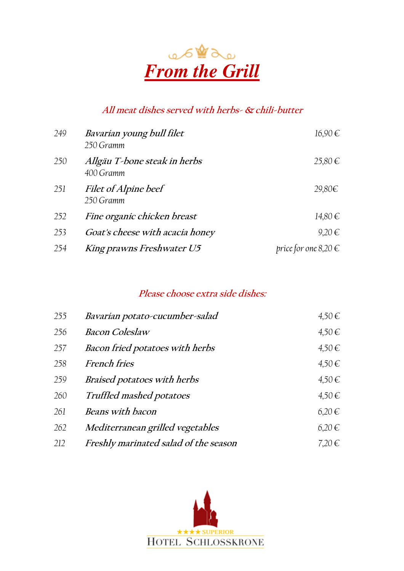

#### **All meat dishes served with herbs- & chili-butter**

| 249 | Bavarian young bull filet<br>250 Gramm    | $16,90 \in$              |
|-----|-------------------------------------------|--------------------------|
| 250 | Allgäu T-bone steak in herbs<br>400 Gramm | $25,80 \in$              |
| 251 | Filet of Alpine beef<br>250 Gramm         | 29,80€                   |
| 252 | Fine organic chicken breast               | 14,80€                   |
| 253 | Goat's cheese with acacia honey           | $9,20 \in$               |
| 254 | King prawns Freshwater U5                 | price for one $8,20 \in$ |

#### **Please choose extra side dishes:**

| 255 | Bavarian potato-cucumber-salad        | $4,50 \in$ |
|-----|---------------------------------------|------------|
| 256 | <b>Bacon Coleslaw</b>                 | $4,50 \in$ |
| 257 | Bacon fried potatoes with herbs       | $4,50 \in$ |
| 258 | <b>French fries</b>                   | $4,50 \in$ |
| 259 | Braised potatoes with herbs           | $4,50 \in$ |
| 260 | Truffled mashed potatoes              | $4,50 \in$ |
| 261 | <b>Beans with bacon</b>               | $6,20 \in$ |
| 262 | Mediterranean grilled vegetables      | 6,20€      |
| 212 | Freshly marinated salad of the season | $7.20 \in$ |

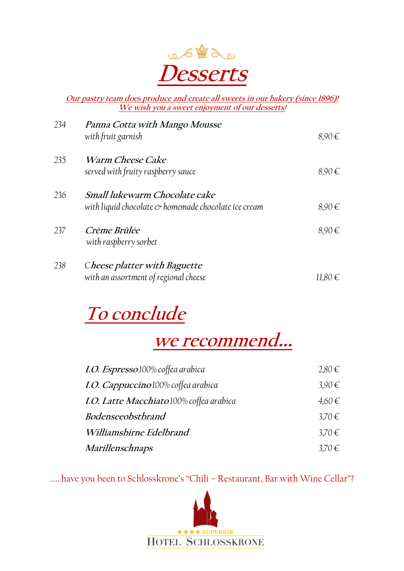

**Our pastry team does produce and create all sweets in our bakery (since 1896)! We wish you a sweet enjoyment of our desserts!** 

| 234 | Panna Cotta with Mango Mousse<br>with fruit garnish                                                     | $8,90 \in$ |
|-----|---------------------------------------------------------------------------------------------------------|------------|
| 235 | <i>Warm Cheese Cake</i><br>served with fruity raspberry sauce                                           | $8,90 \in$ |
| 236 | Small lukewarm Chocolate cake<br>with liquid chocolate $\circlearrowright$ homemade chocolate ice cream | $8,90 \in$ |
| 237 | Crème Brûlée<br>with raspberry sorbet                                                                   | $8,90 \in$ |
| 238 | Cheese platter with Baguette<br>with an assortment of regional cheese                                   | 11,80 €    |

# **To conclude**

## **we recommend…**

| I.O. Espresso 100% coffea arabica        | $2,80 \in$ |
|------------------------------------------|------------|
| I.O. Cappuccino 100% coffea arabica      | $3,90 \in$ |
| I.O. Latte Macchiato 100% coffea arabica | $4,60 \in$ |
| Bodenseeobstbrand                        | 3,70€      |
| Williamsbirne Edelbrand                  | 3,70€      |
| Marillenschnaps                          | 3,70€      |

……have you been to Schlosskrone's "Chili – Restaurant, Bar with Wine Cellar"?